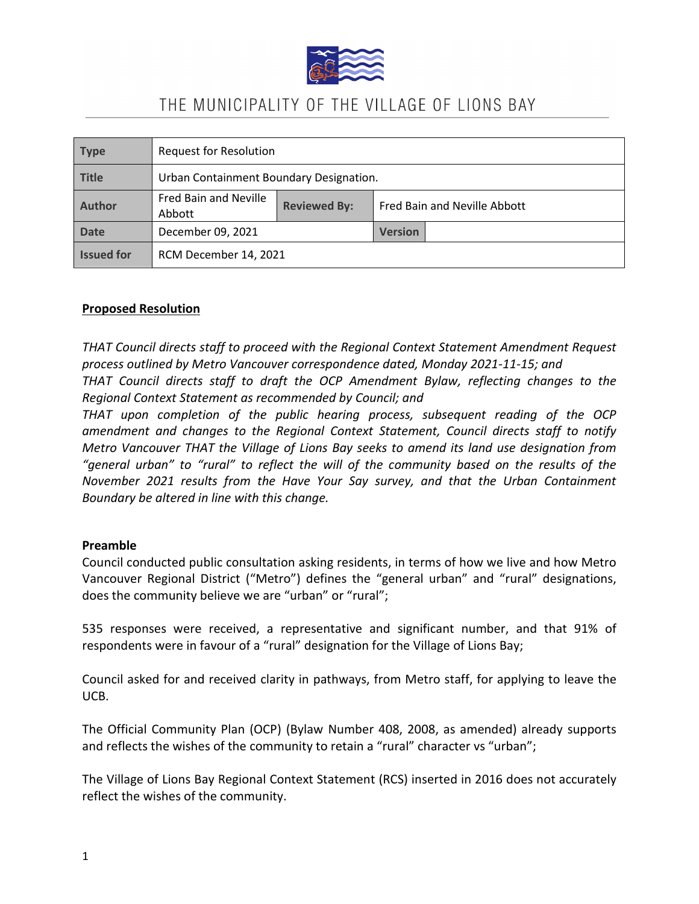

## THE MUNICIPALITY OF THE VILLAGE OF LIONS BAY

| <b>Type</b>       | <b>Request for Resolution</b>           |                     |                              |  |
|-------------------|-----------------------------------------|---------------------|------------------------------|--|
| <b>Title</b>      | Urban Containment Boundary Designation. |                     |                              |  |
| <b>Author</b>     | Fred Bain and Neville<br>Abbott         | <b>Reviewed By:</b> | Fred Bain and Neville Abbott |  |
| <b>Date</b>       | December 09, 2021                       |                     | <b>Version</b>               |  |
| <b>Issued for</b> | RCM December 14, 2021                   |                     |                              |  |

## **Proposed Resolution**

*THAT Council directs staff to proceed with the Regional Context Statement Amendment Request process outlined by Metro Vancouver correspondence dated, Monday 2021-11-15; and THAT Council directs staff to draft the OCP Amendment Bylaw, reflecting changes to the Regional Context Statement as recommended by Council; and*

*THAT upon completion of the public hearing process, subsequent reading of the OCP amendment and changes to the Regional Context Statement, Council directs staff to notify Metro Vancouver THAT the Village of Lions Bay seeks to amend its land use designation from "general urban" to "rural" to reflect the will of the community based on the results of the November 2021 results from the Have Your Say survey, and that the Urban Containment Boundary be altered in line with this change.*

## **Preamble**

Council conducted public consultation asking residents, in terms of how we live and how Metro Vancouver Regional District ("Metro") defines the "general urban" and "rural" designations, does the community believe we are "urban" or "rural";

535 responses were received, a representative and significant number, and that 91% of respondents were in favour of a "rural" designation for the Village of Lions Bay;

Council asked for and received clarity in pathways, from Metro staff, for applying to leave the UCB.

The Official Community Plan (OCP) (Bylaw Number 408, 2008, as amended) already supports and reflects the wishes of the community to retain a "rural" character vs "urban";

The Village of Lions Bay Regional Context Statement (RCS) inserted in 2016 does not accurately reflect the wishes of the community.